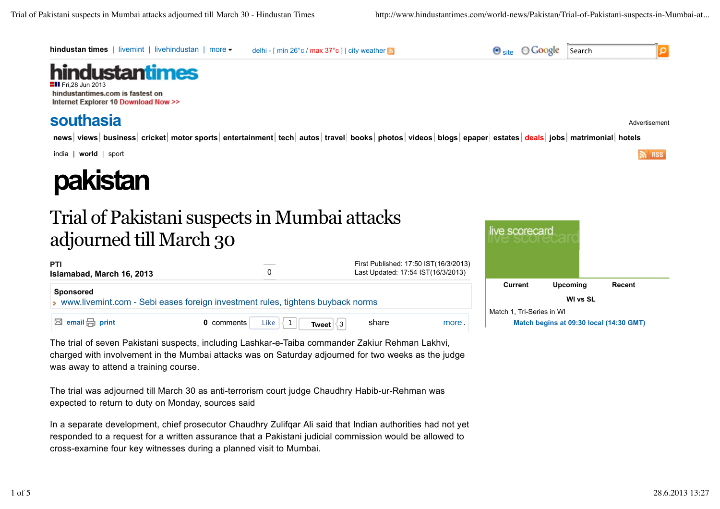

**0** comments Like  $\begin{array}{|c|c|c|c|c|}\n\hline\n\text{1} & \text{1} & \text{1} & \text{1} \\
\hline\n\end{array}$  **share** more more.

The trial of seven Pakistani suspects, including Lashkar-e-Taiba commander Zakiur Rehman Lakhvi, charged with involvement in the Mumbai attacks was on Saturday adjourned for two weeks as the judge was away to attend a training course.

The trial was adjourned till March 30 as anti-terrorism court judge Chaudhry Habib-ur-Rehman was expected to return to duty on Monday, sources said

In a separate development, chief prosecutor Chaudhry Zulifqar Ali said that Indian authorities had not yet responded to a request for a written assurance that a Pakistani judicial commission would be allowed to cross-examine four key witnesses during a planned visit to Mumbai.

Match 1, Tri-Series in WI Like  $\begin{array}{|c|c|c|c|c|}\n\hline\n\end{array}$  **Tweet**  $\begin{array}{|c|c|c|c|}\n\hline\n\end{array}$  **Match begins at 09:30 local (14:30 GMT)**